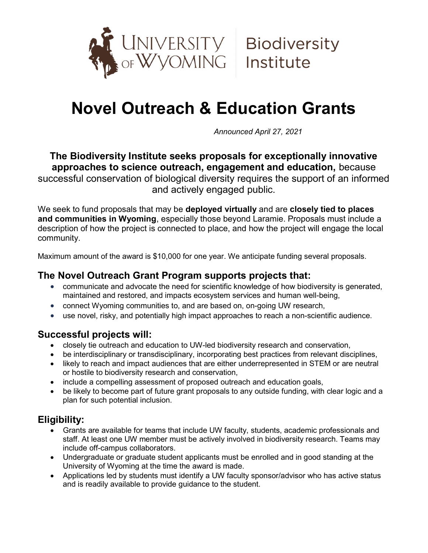

# Novel Outreach & Education Grants

Announced April 27, 2021

The Biodiversity Institute seeks proposals for exceptionally innovative approaches to science outreach, engagement and education, because successful conservation of biological diversity requires the support of an informed and actively engaged public.

We seek to fund proposals that may be deployed virtually and are closely tied to places and communities in Wyoming, especially those beyond Laramie. Proposals must include a description of how the project is connected to place, and how the project will engage the local community.

Maximum amount of the award is \$10,000 for one year. We anticipate funding several proposals.

## The Novel Outreach Grant Program supports projects that:

- communicate and advocate the need for scientific knowledge of how biodiversity is generated, maintained and restored, and impacts ecosystem services and human well-being,
- connect Wyoming communities to, and are based on, on-going UW research,
- use novel, risky, and potentially high impact approaches to reach a non-scientific audience.

## Successful projects will:

- closely tie outreach and education to UW-led biodiversity research and conservation,
- be interdisciplinary or transdisciplinary, incorporating best practices from relevant disciplines,
- likely to reach and impact audiences that are either underrepresented in STEM or are neutral or hostile to biodiversity research and conservation,
- include a compelling assessment of proposed outreach and education goals,
- be likely to become part of future grant proposals to any outside funding, with clear logic and a plan for such potential inclusion.

# Eligibility:

- Grants are available for teams that include UW faculty, students, academic professionals and staff. At least one UW member must be actively involved in biodiversity research. Teams may include off-campus collaborators.
- Undergraduate or graduate student applicants must be enrolled and in good standing at the University of Wyoming at the time the award is made.
- Applications led by students must identify a UW faculty sponsor/advisor who has active status and is readily available to provide guidance to the student.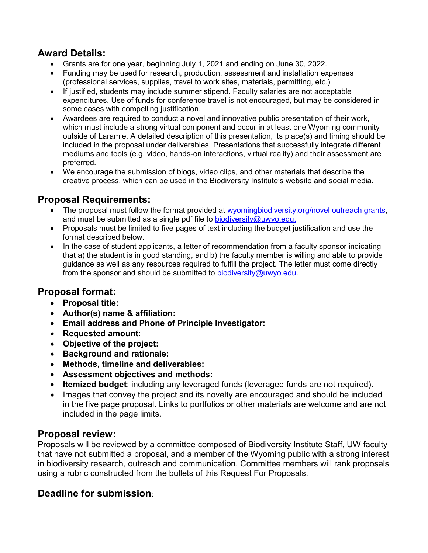## Award Details:

- Grants are for one year, beginning July 1, 2021 and ending on June 30, 2022.
- Funding may be used for research, production, assessment and installation expenses (professional services, supplies, travel to work sites, materials, permitting, etc.)
- If justified, students may include summer stipend. Faculty salaries are not acceptable expenditures. Use of funds for conference travel is not encouraged, but may be considered in some cases with compelling justification.
- Awardees are required to conduct a novel and innovative public presentation of their work, which must include a strong virtual component and occur in at least one Wyoming community outside of Laramie. A detailed description of this presentation, its place(s) and timing should be included in the proposal under deliverables. Presentations that successfully integrate different mediums and tools (e.g. video, hands-on interactions, virtual reality) and their assessment are preferred.
- We encourage the submission of blogs, video clips, and other materials that describe the creative process, which can be used in the Biodiversity Institute's website and social media.

## Proposal Requirements:

- The proposal must follow the format provided at wyomingbiodiversity.org/novel outreach grants, and must be submitted as a single pdf file to biodiversity@uwyo.edu.
- Proposals must be limited to five pages of text including the budget justification and use the format described below.
- In the case of student applicants, a letter of recommendation from a faculty sponsor indicating that a) the student is in good standing, and b) the faculty member is willing and able to provide guidance as well as any resources required to fulfill the project. The letter must come directly from the sponsor and should be submitted to biodiversity@uwyo.edu.

## Proposal format:

- Proposal title:
- Author(s) name & affiliation:
- Email address and Phone of Principle Investigator:
- Requested amount:
- Objective of the project:
- Background and rationale:
- Methods, timeline and deliverables:
- Assessment objectives and methods:
- Itemized budget: including any leveraged funds (leveraged funds are not required).
- Images that convey the project and its novelty are encouraged and should be included in the five page proposal. Links to portfolios or other materials are welcome and are not included in the page limits.

## Proposal review:

Proposals will be reviewed by a committee composed of Biodiversity Institute Staff, UW faculty that have not submitted a proposal, and a member of the Wyoming public with a strong interest in biodiversity research, outreach and communication. Committee members will rank proposals using a rubric constructed from the bullets of this Request For Proposals.

## Deadline for submission: